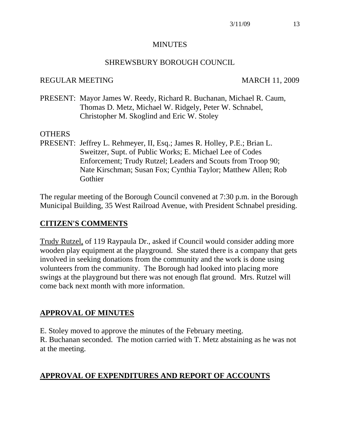#### **MINUTES**

#### SHREWSBURY BOROUGH COUNCIL

#### REGULAR MEETING MARCH 11, 2009

PRESENT: Mayor James W. Reedy, Richard R. Buchanan, Michael R. Caum, Thomas D. Metz, Michael W. Ridgely, Peter W. Schnabel, Christopher M. Skoglind and Eric W. Stoley

#### OTHERS

PRESENT: Jeffrey L. Rehmeyer, II, Esq.; James R. Holley, P.E.; Brian L. Sweitzer, Supt. of Public Works; E. Michael Lee of Codes Enforcement; Trudy Rutzel; Leaders and Scouts from Troop 90; Nate Kirschman; Susan Fox; Cynthia Taylor; Matthew Allen; Rob Gothier

The regular meeting of the Borough Council convened at 7:30 p.m. in the Borough Municipal Building, 35 West Railroad Avenue, with President Schnabel presiding.

#### **CITIZEN'S COMMENTS**

Trudy Rutzel, of 119 Raypaula Dr., asked if Council would consider adding more wooden play equipment at the playground. She stated there is a company that gets involved in seeking donations from the community and the work is done using volunteers from the community. The Borough had looked into placing more swings at the playground but there was not enough flat ground. Mrs. Rutzel will come back next month with more information.

#### **APPROVAL OF MINUTES**

E. Stoley moved to approve the minutes of the February meeting.

R. Buchanan seconded. The motion carried with T. Metz abstaining as he was not at the meeting.

#### **APPROVAL OF EXPENDITURES AND REPORT OF ACCOUNTS**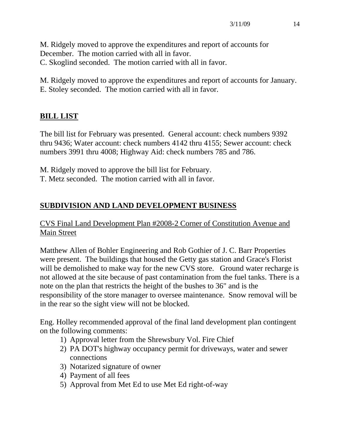M. Ridgely moved to approve the expenditures and report of accounts for December. The motion carried with all in favor. C. Skoglind seconded. The motion carried with all in favor.

M. Ridgely moved to approve the expenditures and report of accounts for January. E. Stoley seconded. The motion carried with all in favor.

# **BILL LIST**

The bill list for February was presented. General account: check numbers 9392 thru 9436; Water account: check numbers 4142 thru 4155; Sewer account: check numbers 3991 thru 4008; Highway Aid: check numbers 785 and 786.

M. Ridgely moved to approve the bill list for February.

T. Metz seconded. The motion carried with all in favor.

# **SUBDIVISION AND LAND DEVELOPMENT BUSINESS**

CVS Final Land Development Plan #2008-2 Corner of Constitution Avenue and Main Street

Matthew Allen of Bohler Engineering and Rob Gothier of J. C. Barr Properties were present. The buildings that housed the Getty gas station and Grace's Florist will be demolished to make way for the new CVS store. Ground water recharge is not allowed at the site because of past contamination from the fuel tanks. There is a note on the plan that restricts the height of the bushes to 36" and is the responsibility of the store manager to oversee maintenance. Snow removal will be in the rear so the sight view will not be blocked.

Eng. Holley recommended approval of the final land development plan contingent on the following comments:

- 1) Approval letter from the Shrewsbury Vol. Fire Chief
- 2) PA DOT's highway occupancy permit for driveways, water and sewer connections
- 3) Notarized signature of owner
- 4) Payment of all fees
- 5) Approval from Met Ed to use Met Ed right-of-way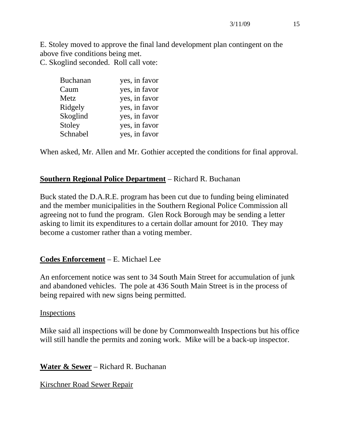E. Stoley moved to approve the final land development plan contingent on the above five conditions being met. C. Skoglind seconded. Roll call vote:

| <b>Buchanan</b> | yes, in favor |
|-----------------|---------------|
| Caum            | yes, in favor |
| Metz            | yes, in favor |
| Ridgely         | yes, in favor |
| Skoglind        | yes, in favor |
| Stoley          | yes, in favor |
| Schnabel        | yes, in favor |

When asked, Mr. Allen and Mr. Gothier accepted the conditions for final approval.

## **Southern Regional Police Department** – Richard R. Buchanan

Buck stated the D.A.R.E. program has been cut due to funding being eliminated and the member municipalities in the Southern Regional Police Commission all agreeing not to fund the program. Glen Rock Borough may be sending a letter asking to limit its expenditures to a certain dollar amount for 2010. They may become a customer rather than a voting member.

# **Codes Enforcement** – E. Michael Lee

An enforcement notice was sent to 34 South Main Street for accumulation of junk and abandoned vehicles. The pole at 436 South Main Street is in the process of being repaired with new signs being permitted.

## Inspections

Mike said all inspections will be done by Commonwealth Inspections but his office will still handle the permits and zoning work. Mike will be a back-up inspector.

**Water & Sewer** – Richard R. Buchanan

Kirschner Road Sewer Repair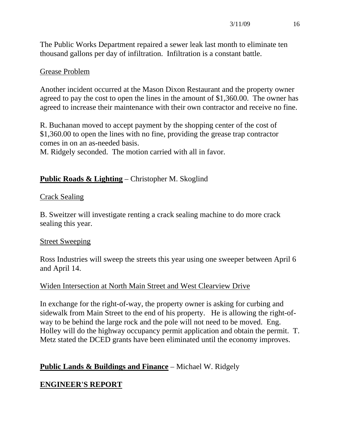The Public Works Department repaired a sewer leak last month to eliminate ten thousand gallons per day of infiltration. Infiltration is a constant battle.

## Grease Problem

Another incident occurred at the Mason Dixon Restaurant and the property owner agreed to pay the cost to open the lines in the amount of \$1,360.00. The owner has agreed to increase their maintenance with their own contractor and receive no fine.

R. Buchanan moved to accept payment by the shopping center of the cost of \$1,360.00 to open the lines with no fine, providing the grease trap contractor comes in on an as-needed basis.

M. Ridgely seconded. The motion carried with all in favor.

# **Public Roads & Lighting** – Christopher M. Skoglind

## Crack Sealing

B. Sweitzer will investigate renting a crack sealing machine to do more crack sealing this year.

## Street Sweeping

Ross Industries will sweep the streets this year using one sweeper between April 6 and April 14.

# Widen Intersection at North Main Street and West Clearview Drive

In exchange for the right-of-way, the property owner is asking for curbing and sidewalk from Main Street to the end of his property. He is allowing the right-ofway to be behind the large rock and the pole will not need to be moved. Eng. Holley will do the highway occupancy permit application and obtain the permit. T. Metz stated the DCED grants have been eliminated until the economy improves.

# **Public Lands & Buildings and Finance** – Michael W. Ridgely

# **ENGINEER'S REPORT**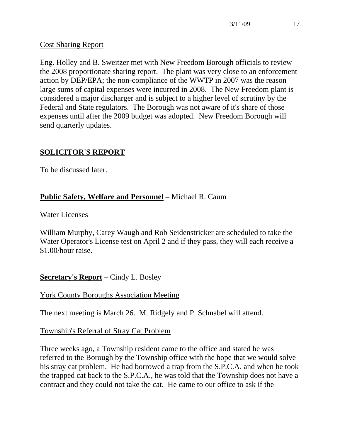## Cost Sharing Report

Eng. Holley and B. Sweitzer met with New Freedom Borough officials to review the 2008 proportionate sharing report. The plant was very close to an enforcement action by DEP/EPA; the non-compliance of the WWTP in 2007 was the reason large sums of capital expenses were incurred in 2008. The New Freedom plant is considered a major discharger and is subject to a higher level of scrutiny by the Federal and State regulators. The Borough was not aware of it's share of those expenses until after the 2009 budget was adopted. New Freedom Borough will send quarterly updates.

# **SOLICITOR'S REPORT**

To be discussed later.

# **Public Safety, Welfare and Personnel** – Michael R. Caum

## Water Licenses

William Murphy, Carey Waugh and Rob Seidenstricker are scheduled to take the Water Operator's License test on April 2 and if they pass, they will each receive a \$1.00/hour raise.

# **Secretary's Report** – Cindy L. Bosley

# York County Boroughs Association Meeting

The next meeting is March 26. M. Ridgely and P. Schnabel will attend.

## Township's Referral of Stray Cat Problem

Three weeks ago, a Township resident came to the office and stated he was referred to the Borough by the Township office with the hope that we would solve his stray cat problem. He had borrowed a trap from the S.P.C.A. and when he took the trapped cat back to the S.P.C.A., he was told that the Township does not have a contract and they could not take the cat. He came to our office to ask if the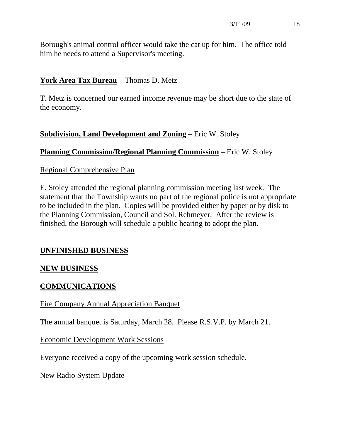Borough's animal control officer would take the cat up for him. The office told him he needs to attend a Supervisor's meeting.

## **York Area Tax Bureau** – Thomas D. Metz

T. Metz is concerned our earned income revenue may be short due to the state of the economy.

## **Subdivision, Land Development and Zoning** – Eric W. Stoley

## **Planning Commission/Regional Planning Commission** – Eric W. Stoley

#### Regional Comprehensive Plan

E. Stoley attended the regional planning commission meeting last week. The statement that the Township wants no part of the regional police is not appropriate to be included in the plan. Copies will be provided either by paper or by disk to the Planning Commission, Council and Sol. Rehmeyer. After the review is finished, the Borough will schedule a public hearing to adopt the plan.

## **UNFINISHED BUSINESS**

## **NEW BUSINESS**

## **COMMUNICATIONS**

## Fire Company Annual Appreciation Banquet

The annual banquet is Saturday, March 28. Please R.S.V.P. by March 21.

## Economic Development Work Sessions

Everyone received a copy of the upcoming work session schedule.

## New Radio System Update